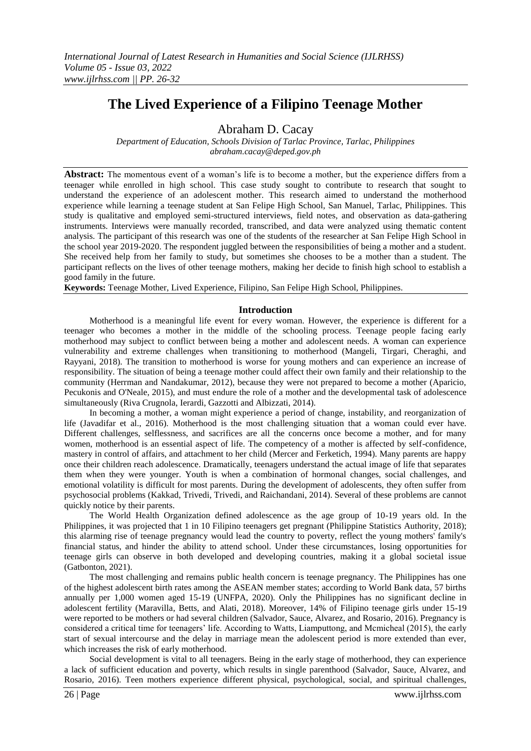# **The Lived Experience of a Filipino Teenage Mother**

Abraham D. Cacay

*Department of Education, Schools Division of Tarlac Province, Tarlac, Philippines abraham.cacay@deped.gov.ph*

**Abstract:** The momentous event of a woman's life is to become a mother, but the experience differs from a teenager while enrolled in high school. This case study sought to contribute to research that sought to understand the experience of an adolescent mother. This research aimed to understand the motherhood experience while learning a teenage student at San Felipe High School, San Manuel, Tarlac, Philippines. This study is qualitative and employed semi-structured interviews, field notes, and observation as data-gathering instruments. Interviews were manually recorded, transcribed, and data were analyzed using thematic content analysis. The participant of this research was one of the students of the researcher at San Felipe High School in the school year 2019-2020. The respondent juggled between the responsibilities of being a mother and a student. She received help from her family to study, but sometimes she chooses to be a mother than a student. The participant reflects on the lives of other teenage mothers, making her decide to finish high school to establish a good family in the future.

**Keywords:** Teenage Mother, Lived Experience, Filipino, San Felipe High School, Philippines.

### **Introduction**

Motherhood is a meaningful life event for every woman. However, the experience is different for a teenager who becomes a mother in the middle of the schooling process. Teenage people facing early motherhood may subject to conflict between being a mother and adolescent needs. A woman can experience vulnerability and extreme challenges when transitioning to motherhood (Mangeli, Tirgari, Cheraghi, and Rayyani, 2018). The transition to motherhood is worse for young mothers and can experience an increase of responsibility. The situation of being a teenage mother could affect their own family and their relationship to the community (Herrman and Nandakumar, 2012), because they were not prepared to become a mother (Aparicio, Pecukonis and O'Neale, 2015), and must endure the role of a mother and the developmental task of adolescence simultaneously (Riva Crugnola, Ierardi, Gazzotti and Albizzati, 2014).

In becoming a mother, a woman might experience a period of change, instability, and reorganization of life (Javadifar et al., 2016). Motherhood is the most challenging situation that a woman could ever have. Different challenges, selflessness, and sacrifices are all the concerns once become a mother, and for many women, motherhood is an essential aspect of life. The competency of a mother is affected by self-confidence, mastery in control of affairs, and attachment to her child (Mercer and Ferketich, 1994). Many parents are happy once their children reach adolescence. Dramatically, teenagers understand the actual image of life that separates them when they were younger. Youth is when a combination of hormonal changes, social challenges, and emotional volatility is difficult for most parents. During the development of adolescents, they often suffer from psychosocial problems (Kakkad, Trivedi, Trivedi, and Raichandani, 2014). Several of these problems are cannot quickly notice by their parents.

The World Health Organization defined adolescence as the age group of 10-19 years old. In the Philippines, it was projected that 1 in 10 Filipino teenagers get pregnant (Philippine Statistics Authority, 2018); this alarming rise of teenage pregnancy would lead the country to poverty, reflect the young mothers' family's financial status, and hinder the ability to attend school. Under these circumstances, losing opportunities for teenage girls can observe in both developed and developing countries, making it a global societal issue (Gatbonton, 2021).

The most challenging and remains public health concern is teenage pregnancy. The Philippines has one of the highest adolescent birth rates among the ASEAN member states; according to World Bank data, 57 births annually per 1,000 women aged 15-19 (UNFPA, 2020). Only the Philippines has no significant decline in adolescent fertility (Maravilla, Betts, and Alati, 2018). Moreover, 14% of Filipino teenage girls under 15-19 were reported to be mothers or had several children (Salvador, Sauce, Alvarez, and Rosario, 2016). Pregnancy is considered a critical time for teenagers' life. According to Watts, Liamputtong, and Mcmicheal (2015), the early start of sexual intercourse and the delay in marriage mean the adolescent period is more extended than ever, which increases the risk of early motherhood.

Social development is vital to all teenagers. Being in the early stage of motherhood, they can experience a lack of sufficient education and poverty, which results in single parenthood (Salvador, Sauce, Alvarez, and Rosario, 2016). Teen mothers experience different physical, psychological, social, and spiritual challenges,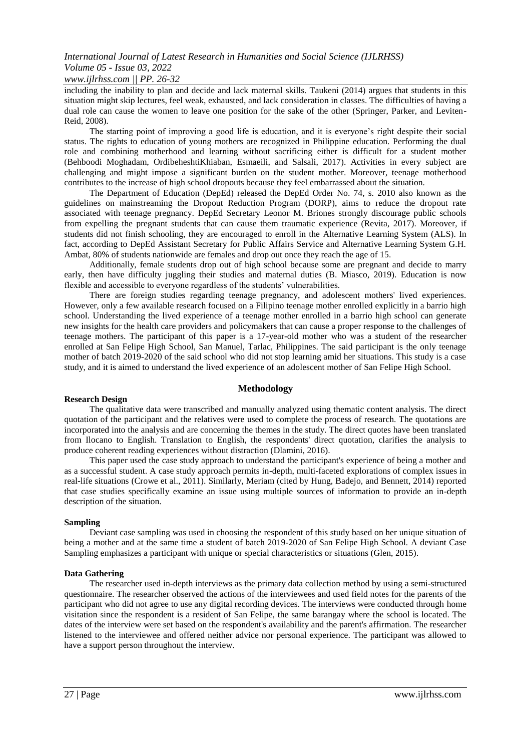### *www.ijlrhss.com || PP. 26-32*

including the inability to plan and decide and lack maternal skills. Taukeni (2014) argues that students in this situation might skip lectures, feel weak, exhausted, and lack consideration in classes. The difficulties of having a dual role can cause the women to leave one position for the sake of the other (Springer, Parker, and Leviten-Reid, 2008).

The starting point of improving a good life is education, and it is everyone's right despite their social status. The rights to education of young mothers are recognized in Philippine education. Performing the dual role and combining motherhood and learning without sacrificing either is difficult for a student mother (Behboodi Moghadam, OrdibeheshtiKhiaban, Esmaeili, and Salsali, 2017). Activities in every subject are challenging and might impose a significant burden on the student mother. Moreover, teenage motherhood contributes to the increase of high school dropouts because they feel embarrassed about the situation.

The Department of Education (DepEd) released the DepEd Order No. 74, s. 2010 also known as the guidelines on mainstreaming the Dropout Reduction Program (DORP), aims to reduce the dropout rate associated with teenage pregnancy. DepEd Secretary Leonor M. Briones strongly discourage public schools from expelling the pregnant students that can cause them traumatic experience (Revita, 2017). Moreover, if students did not finish schooling, they are encouraged to enroll in the Alternative Learning System (ALS). In fact, according to DepEd Assistant Secretary for Public Affairs Service and Alternative Learning System G.H. Ambat, 80% of students nationwide are females and drop out once they reach the age of 15.

Additionally, female students drop out of high school because some are pregnant and decide to marry early, then have difficulty juggling their studies and maternal duties (B. Miasco, 2019). Education is now flexible and accessible to everyone regardless of the students' vulnerabilities.

There are foreign studies regarding teenage pregnancy, and adolescent mothers' lived experiences. However, only a few available research focused on a Filipino teenage mother enrolled explicitly in a barrio high school. Understanding the lived experience of a teenage mother enrolled in a barrio high school can generate new insights for the health care providers and policymakers that can cause a proper response to the challenges of teenage mothers. The participant of this paper is a 17-year-old mother who was a student of the researcher enrolled at San Felipe High School, San Manuel, Tarlac, Philippines. The said participant is the only teenage mother of batch 2019-2020 of the said school who did not stop learning amid her situations. This study is a case study, and it is aimed to understand the lived experience of an adolescent mother of San Felipe High School.

### **Methodology**

### **Research Design**

The qualitative data were transcribed and manually analyzed using thematic content analysis. The direct quotation of the participant and the relatives were used to complete the process of research. The quotations are incorporated into the analysis and are concerning the themes in the study. The direct quotes have been translated from Ilocano to English. Translation to English, the respondents' direct quotation, clarifies the analysis to produce coherent reading experiences without distraction (Dlamini, 2016).

This paper used the case study approach to understand the participant's experience of being a mother and as a successful student. A case study approach permits in-depth, multi-faceted explorations of complex issues in real-life situations (Crowe et al., 2011). Similarly, Meriam (cited by Hung, Badejo, and Bennett, 2014) reported that case studies specifically examine an issue using multiple sources of information to provide an in-depth description of the situation.

### **Sampling**

Deviant case sampling was used in choosing the respondent of this study based on her unique situation of being a mother and at the same time a student of batch 2019-2020 of San Felipe High School. A deviant Case Sampling emphasizes a participant with unique or special characteristics or situations (Glen, 2015).

### **Data Gathering**

The researcher used in-depth interviews as the primary data collection method by using a semi-structured questionnaire. The researcher observed the actions of the interviewees and used field notes for the parents of the participant who did not agree to use any digital recording devices. The interviews were conducted through home visitation since the respondent is a resident of San Felipe, the same barangay where the school is located. The dates of the interview were set based on the respondent's availability and the parent's affirmation. The researcher listened to the interviewee and offered neither advice nor personal experience. The participant was allowed to have a support person throughout the interview.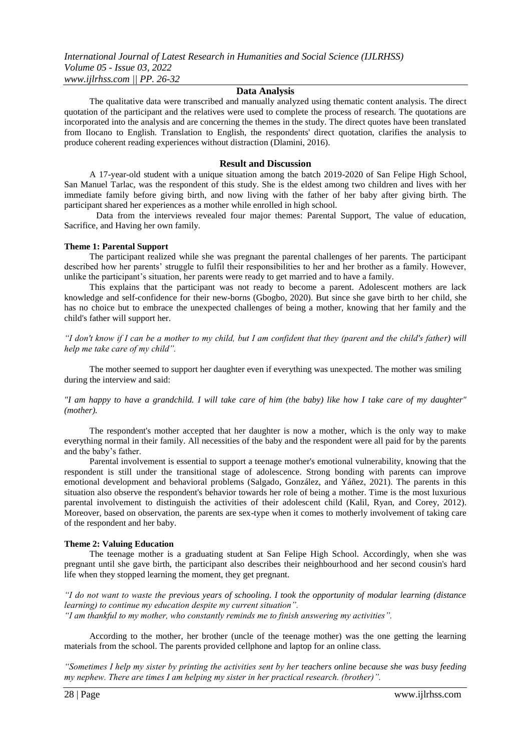### **Data Analysis**

The qualitative data were transcribed and manually analyzed using thematic content analysis. The direct quotation of the participant and the relatives were used to complete the process of research. The quotations are incorporated into the analysis and are concerning the themes in the study. The direct quotes have been translated from Ilocano to English. Translation to English, the respondents' direct quotation, clarifies the analysis to produce coherent reading experiences without distraction (Dlamini, 2016).

### **Result and Discussion**

A 17-year-old student with a unique situation among the batch 2019-2020 of San Felipe High School, San Manuel Tarlac, was the respondent of this study. She is the eldest among two children and lives with her immediate family before giving birth, and now living with the father of her baby after giving birth. The participant shared her experiences as a mother while enrolled in high school.

Data from the interviews revealed four major themes: Parental Support, The value of education, Sacrifice, and Having her own family.

#### **Theme 1: Parental Support**

The participant realized while she was pregnant the parental challenges of her parents. The participant described how her parents' struggle to fulfil their responsibilities to her and her brother as a family. However, unlike the participant's situation, her parents were ready to get married and to have a family.

This explains that the participant was not ready to become a parent. Adolescent mothers are lack knowledge and self-confidence for their new-borns (Gbogbo, 2020). But since she gave birth to her child, she has no choice but to embrace the unexpected challenges of being a mother, knowing that her family and the child's father will support her.

*"I don't know if I can be a mother to my child, but I am confident that they (parent and the child's father) will help me take care of my child".* 

The mother seemed to support her daughter even if everything was unexpected. The mother was smiling during the interview and said:

### *"I am happy to have a grandchild. I will take care of him (the baby) like how I take care of my daughter" (mother).*

The respondent's mother accepted that her daughter is now a mother, which is the only way to make everything normal in their family. All necessities of the baby and the respondent were all paid for by the parents and the baby's father.

Parental involvement is essential to support a teenage mother's emotional vulnerability, knowing that the respondent is still under the transitional stage of adolescence. Strong bonding with parents can improve emotional development and behavioral problems (Salgado, González, and Yáñez, 2021). The parents in this situation also observe the respondent's behavior towards her role of being a mother. Time is the most luxurious parental involvement to distinguish the activities of their adolescent child (Kalil, Ryan, and Corey, 2012). Moreover, based on observation, the parents are sex-type when it comes to motherly involvement of taking care of the respondent and her baby.

#### **Theme 2: Valuing Education**

The teenage mother is a graduating student at San Felipe High School. Accordingly, when she was pregnant until she gave birth, the participant also describes their neighbourhood and her second cousin's hard life when they stopped learning the moment, they get pregnant.

*"I do not want to waste the previous years of schooling. I took the opportunity of modular learning (distance learning) to continue my education despite my current situation". "I am thankful to my mother, who constantly reminds me to finish answering my activities".*

According to the mother, her brother (uncle of the teenage mother) was the one getting the learning materials from the school. The parents provided cellphone and laptop for an online class.

*"Sometimes I help my sister by printing the activities sent by her teachers online because she was busy feeding my nephew. There are times I am helping my sister in her practical research. (brother)".*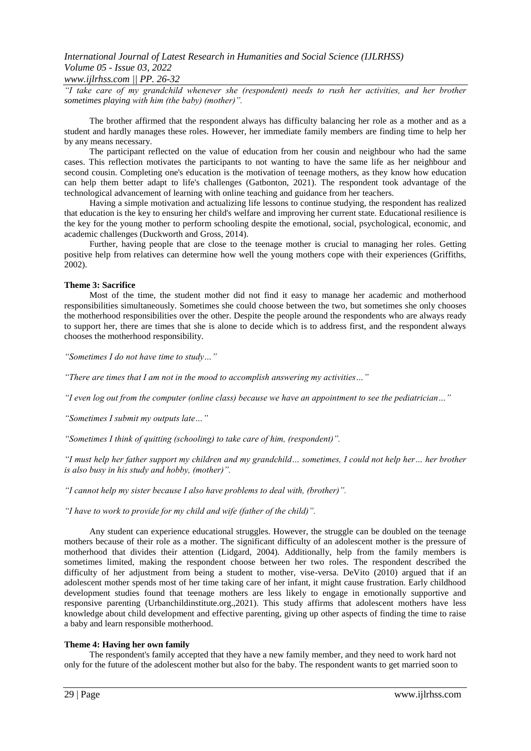### *www.ijlrhss.com || PP. 26-32*

*"I take care of my grandchild whenever she (respondent) needs to rush her activities, and her brother sometimes playing with him (the baby) (mother)".* 

The brother affirmed that the respondent always has difficulty balancing her role as a mother and as a student and hardly manages these roles. However, her immediate family members are finding time to help her by any means necessary.

The participant reflected on the value of education from her cousin and neighbour who had the same cases. This reflection motivates the participants to not wanting to have the same life as her neighbour and second cousin. Completing one's education is the motivation of teenage mothers, as they know how education can help them better adapt to life's challenges (Gatbonton, 2021). The respondent took advantage of the technological advancement of learning with online teaching and guidance from her teachers.

Having a simple motivation and actualizing life lessons to continue studying, the respondent has realized that education is the key to ensuring her child's welfare and improving her current state. Educational resilience is the key for the young mother to perform schooling despite the emotional, social, psychological, economic, and academic challenges (Duckworth and Gross, 2014).

Further, having people that are close to the teenage mother is crucial to managing her roles. Getting positive help from relatives can determine how well the young mothers cope with their experiences (Griffiths, 2002).

### **Theme 3: Sacrifice**

Most of the time, the student mother did not find it easy to manage her academic and motherhood responsibilities simultaneously. Sometimes she could choose between the two, but sometimes she only chooses the motherhood responsibilities over the other. Despite the people around the respondents who are always ready to support her, there are times that she is alone to decide which is to address first, and the respondent always chooses the motherhood responsibility.

*"Sometimes I do not have time to study…"*

*"There are times that I am not in the mood to accomplish answering my activities…"* 

*"I even log out from the computer (online class) because we have an appointment to see the pediatrician…"*

*"Sometimes I submit my outputs late…"* 

*"Sometimes I think of quitting (schooling) to take care of him, (respondent)".* 

*"I must help her father support my children and my grandchild… sometimes, I could not help her… her brother is also busy in his study and hobby, (mother)".* 

*"I cannot help my sister because I also have problems to deal with, (brother)".* 

*"I have to work to provide for my child and wife (father of the child)".*

Any student can experience educational struggles. However, the struggle can be doubled on the teenage mothers because of their role as a mother. The significant difficulty of an adolescent mother is the pressure of motherhood that divides their attention (Lidgard, 2004). Additionally, help from the family members is sometimes limited, making the respondent choose between her two roles. The respondent described the difficulty of her adjustment from being a student to mother, vise-versa. DeVito (2010) argued that if an adolescent mother spends most of her time taking care of her infant, it might cause frustration. Early childhood development studies found that teenage mothers are less likely to engage in emotionally supportive and responsive parenting (Urbanchildinstitute.org.,2021). This study affirms that adolescent mothers have less knowledge about child development and effective parenting, giving up other aspects of finding the time to raise a baby and learn responsible motherhood.

### **Theme 4: Having her own family**

The respondent's family accepted that they have a new family member, and they need to work hard not only for the future of the adolescent mother but also for the baby. The respondent wants to get married soon to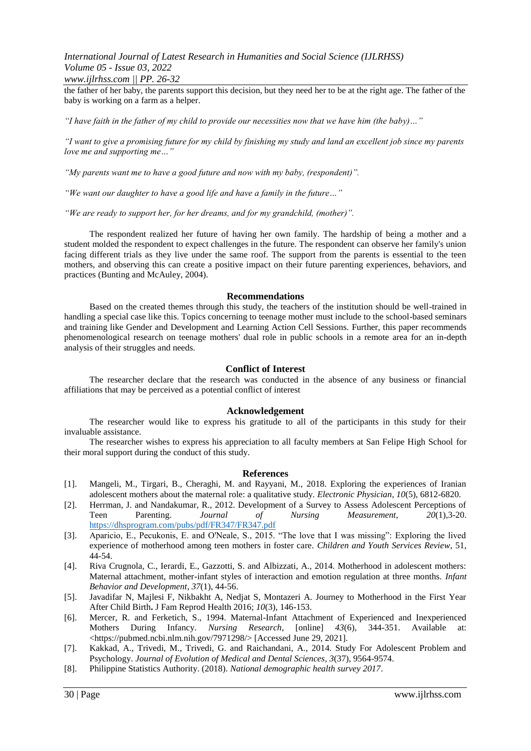*www.ijlrhss.com || PP. 26-32*

the father of her baby, the parents support this decision, but they need her to be at the right age. The father of the baby is working on a farm as a helper.

*"I have faith in the father of my child to provide our necessities now that we have him (the baby)…"* 

*"I want to give a promising future for my child by finishing my study and land an excellent job since my parents love me and supporting me…"* 

*"My parents want me to have a good future and now with my baby, (respondent)".* 

*"We want our daughter to have a good life and have a family in the future…"* 

*"We are ready to support her, for her dreams, and for my grandchild, (mother)".* 

The respondent realized her future of having her own family. The hardship of being a mother and a student molded the respondent to expect challenges in the future. The respondent can observe her family's union facing different trials as they live under the same roof. The support from the parents is essential to the teen mothers, and observing this can create a positive impact on their future parenting experiences, behaviors, and practices (Bunting and McAuley, 2004).

### **Recommendations**

Based on the created themes through this study, the teachers of the institution should be well-trained in handling a special case like this. Topics concerning to teenage mother must include to the school-based seminars and training like Gender and Development and Learning Action Cell Sessions. Further, this paper recommends phenomenological research on teenage mothers' dual role in public schools in a remote area for an in-depth analysis of their struggles and needs.

### **Conflict of Interest**

The researcher declare that the research was conducted in the absence of any business or financial affiliations that may be perceived as a potential conflict of interest

### **Acknowledgement**

The researcher would like to express his gratitude to all of the participants in this study for their invaluable assistance.

The researcher wishes to express his appreciation to all faculty members at San Felipe High School for their moral support during the conduct of this study.

#### **References**

- [1]. Mangeli, M., Tirgari, B., Cheraghi, M. and Rayyani, M., 2018. Exploring the experiences of Iranian adolescent mothers about the maternal role: a qualitative study. *Electronic Physician*, *10*(5), 6812-6820.
- [2]. Herrman, J. and Nandakumar, R., 2012. Development of a Survey to Assess Adolescent Perceptions of Teen Parenting. *Journal of Nursing Measurement*, *20*(1),3-20. <https://dhsprogram.com/pubs/pdf/FR347/FR347.pdf>
- [3]. Aparicio, E., Pecukonis, E. and O'Neale, S., 2015. "The love that I was missing": Exploring the lived experience of motherhood among teen mothers in foster care. *Children and Youth Services Review*, 51, 44-54.
- [4]. Riva Crugnola, C., Ierardi, E., Gazzotti, S. and Albizzati, A., 2014. Motherhood in adolescent mothers: Maternal attachment, mother-infant styles of interaction and emotion regulation at three months. *Infant Behavior and Development*, *37*(1), 44-56.
- [5]. Javadifar N, Majlesi F, Nikbakht A, Nedjat S, Montazeri A. Journey to Motherhood in the First Year After Child Birth**.** J Fam Reprod Health 2016; *10*(3), 146-153.
- [6]. Mercer, R. and Ferketich, S., 1994. Maternal-Infant Attachment of Experienced and Inexperienced Mothers During Infancy. *Nursing Research*, [online] *43*(6), 344-351. Available at: <https://pubmed.ncbi.nlm.nih.gov/7971298/> [Accessed June 29, 2021].
- [7]. Kakkad, A., Trivedi, M., Trivedi, G. and Raichandani, A., 2014. Study For Adolescent Problem and Psychology. *Journal of Evolution of Medical and Dental Sciences*, *3*(37), 9564-9574.
- [8]. Philippine Statistics Authority. (2018). *National demographic health survey 2017*.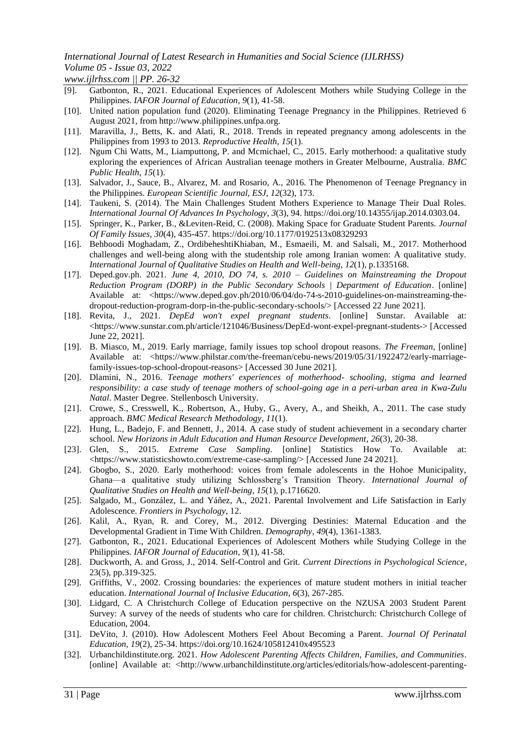*www.ijlrhss.com || PP. 26-32*

- [9]. Gatbonton, R., 2021. Educational Experiences of Adolescent Mothers while Studying College in the Philippines. *IAFOR Journal of Education*, *9*(1), 41-58.
- [10]. United nation population fund (2020). Eliminating Teenage Pregnancy in the Philippines. Retrieved 6 August 2021, from http://www.philippines.unfpa.org.
- [11]. Maravilla, J., Betts, K. and Alati, R., 2018. Trends in repeated pregnancy among adolescents in the Philippines from 1993 to 2013. *Reproductive Health*, *15*(1).
- [12]. Ngum Chi Watts, M., Liamputtong, P. and Mcmichael, C., 2015. Early motherhood: a qualitative study exploring the experiences of African Australian teenage mothers in Greater Melbourne, Australia. *BMC Public Health*, *15*(1).
- [13]. Salvador, J., Sauce, B., Alvarez, M. and Rosario, A., 2016. The Phenomenon of Teenage Pregnancy in the Philippines. *European Scientific Journal, ESJ*, *12*(32), 173.
- [14]. Taukeni, S. (2014). The Main Challenges Student Mothers Experience to Manage Their Dual Roles. *International Journal Of Advances In Psychology*, *3*(3), 94. https://doi.org/10.14355/ijap.2014.0303.04.
- [15]. Springer, K., Parker, B., &Leviten-Reid, C. (2008). Making Space for Graduate Student Parents. *Journal Of Family Issues*, *30*(4), 435-457. https://doi.org/10.1177/0192513x08329293
- [16]. Behboodi Moghadam, Z., OrdibeheshtiKhiaban, M., Esmaeili, M. and Salsali, M., 2017. Motherhood challenges and well-being along with the studentship role among Iranian women: A qualitative study. *International Journal of Qualitative Studies on Health and Well-being*, *12*(1), p.1335168.
- [17]. Deped.gov.ph. 2021. *June 4, 2010, DO 74, s. 2010 – Guidelines on Mainstreaming the Dropout Reduction Program (DORP) in the Public Secondary Schools | Department of Education*. [online] Available at: <https://www.deped.gov.ph/2010/06/04/do-74-s-2010-guidelines-on-mainstreaming-thedropout-reduction-program-dorp-in-the-public-secondary-schools/> [Accessed 22 June 2021].
- [18]. Revita, J., 2021. *DepEd won't expel pregnant students*. [online] Sunstar. Available at: <https://www.sunstar.com.ph/article/121046/Business/DepEd-wont-expel-pregnant-students-> [Accessed June 22, 2021].
- [19]. B. Miasco, M., 2019. Early marriage, family issues top school dropout reasons. *The Freeman*, [online] Available at: <https://www.philstar.com/the-freeman/cebu-news/2019/05/31/1922472/early-marriagefamily-issues-top-school-dropout-reasons> [Accessed 30 June 2021].
- [20]. Dlamini, N., 2016. *Teenage mothers' experiences of motherhood- schooling, stigma and learned responsibility: a case study of teenage mothers of school-going age in a peri-urban area in Kwa-Zulu Natal*. Master Degree. Stellenbosch University.
- [21]. Crowe, S., Cresswell, K., Robertson, A., Huby, G., Avery, A., and Sheikh, A., 2011. The case study approach. *BMC Medical Research Methodology*, *11*(1).
- [22]. Hung, L., Badejo, F. and Bennett, J., 2014. A case study of student achievement in a secondary charter school. *New Horizons in Adult Education and Human Resource Development*, *26*(3), 20-38.
- [23]. Glen, S., 2015. *Extreme Case Sampling*. [online] Statistics How To. Available at: <https://www.statisticshowto.com/extreme-case-sampling/> [Accessed June 24 2021].
- [24]. Gbogbo, S., 2020. Early motherhood: voices from female adolescents in the Hohoe Municipality, Ghana—a qualitative study utilizing Schlossberg's Transition Theory. *International Journal of Qualitative Studies on Health and Well-being*, *15*(1), p.1716620.
- [25]. Salgado, M., González, L. and Yáñez, A., 2021. Parental Involvement and Life Satisfaction in Early Adolescence. *Frontiers in Psychology*, 12.
- [26]. Kalil, A., Ryan, R. and Corey, M., 2012. Diverging Destinies: Maternal Education and the Developmental Gradient in Time With Children. *Demography*, *49*(4), 1361-1383.
- [27]. Gatbonton, R., 2021. Educational Experiences of Adolescent Mothers while Studying College in the Philippines. *IAFOR Journal of Education*, *9*(1), 41-58.
- [28]. Duckworth, A. and Gross, J., 2014. Self-Control and Grit. *Current Directions in Psychological Science*, 23(5), pp.319-325.
- [29]. Griffiths, V., 2002. Crossing boundaries: the experiences of mature student mothers in initial teacher education. *International Journal of Inclusive Education*, *6*(3), 267-285.
- [30]. Lidgard, C. A Christchurch College of Education perspective on the NZUSA 2003 Student Parent Survey: A survey of the needs of students who care for children. Christchurch: Christchurch College of Education, 2004.
- [31]. DeVito, J. (2010). How Adolescent Mothers Feel About Becoming a Parent. *Journal Of Perinatal Education*, *19*(2), 25-34. https://doi.org/10.1624/105812410x495523
- [32]. Urbanchildinstitute.org. 2021. *How Adolescent Parenting Affects Children, Families, and Communities*. [online] Available at: <http://www.urbanchildinstitute.org/articles/editorials/how-adolescent-parenting-